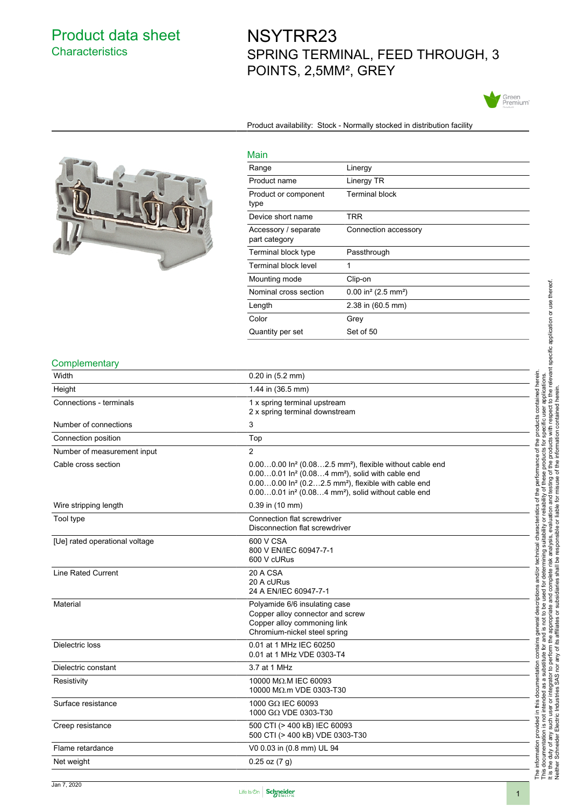## Product data sheet **Characteristics**

# NSYTRR23 SPRING TERMINAL, FEED THROUGH, 3 POINTS, 2,5MM², GREY



Product availability: Stock - Normally stocked in distribution facility



## Main

| <u>ividili</u>                        |                                               |
|---------------------------------------|-----------------------------------------------|
| Range                                 | Linergy                                       |
| Product name                          | Linergy TR                                    |
| Product or component<br>type          | Terminal block                                |
| Device short name                     | TRR                                           |
| Accessory / separate<br>part category | Connection accessory                          |
| Terminal block type                   | Passthrough                                   |
| Terminal block level                  | 1                                             |
| Mounting mode                         | Clip-on                                       |
| Nominal cross section                 | $0.00$ in <sup>2</sup> (2.5 mm <sup>2</sup> ) |
| Length                                | 2.38 in (60.5 mm)                             |
| Color                                 | Grey                                          |
| Quantity per set                      | Set of 50                                     |
|                                       |                                               |

### **Complementary**

| Width                          | $0.20$ in $(5.2$ mm)                                                                                                                                                                                                                                                                                                      |
|--------------------------------|---------------------------------------------------------------------------------------------------------------------------------------------------------------------------------------------------------------------------------------------------------------------------------------------------------------------------|
| Height                         | 1.44 in (36.5 mm)                                                                                                                                                                                                                                                                                                         |
| Connections - terminals        | 1 x spring terminal upstream<br>2 x spring terminal downstream                                                                                                                                                                                                                                                            |
| Number of connections          | 3                                                                                                                                                                                                                                                                                                                         |
| Connection position            | Top                                                                                                                                                                                                                                                                                                                       |
| Number of measurement input    | 2                                                                                                                                                                                                                                                                                                                         |
| Cable cross section            | $0.000.00$ In <sup>2</sup> (0.082.5 mm <sup>2</sup> ), flexible without cable end<br>0.000.01 In <sup>2</sup> (0.084 mm <sup>2</sup> ), solid with cable end<br>0.000.00 In <sup>2</sup> (0.22.5 mm <sup>2</sup> ), flexible with cable end<br>0.000.01 in <sup>2</sup> (0.084 mm <sup>2</sup> ), solid without cable end |
| Wire stripping length          | 0.39 in (10 mm)                                                                                                                                                                                                                                                                                                           |
| Tool type                      | Connection flat screwdriver<br>Disconnection flat screwdriver                                                                                                                                                                                                                                                             |
| [Ue] rated operational voltage | 600 V CSA<br>800 V EN/IEC 60947-7-1<br>600 V cURus                                                                                                                                                                                                                                                                        |
| <b>Line Rated Current</b>      | 20 A CSA<br>20 A cURus<br>24 A EN/IEC 60947-7-1                                                                                                                                                                                                                                                                           |
| Material                       | Polyamide 6/6 insulating case<br>Copper alloy connector and screw<br>Copper alloy commoning link<br>Chromium-nickel steel spring                                                                                                                                                                                          |
| Dielectric loss                | 0.01 at 1 MHz IEC 60250<br>0.01 at 1 MHz VDE 0303-T4                                                                                                                                                                                                                                                                      |
| Dielectric constant            | 3.7 at 1 MHz                                                                                                                                                                                                                                                                                                              |
| Resistivity                    | 10000 MΩ.M IEC 60093<br>10000 MΩ.m VDE 0303-T30                                                                                                                                                                                                                                                                           |
| Surface resistance             | 1000 GΩ IEC 60093<br>1000 GΩ VDE 0303-T30                                                                                                                                                                                                                                                                                 |
| Creep resistance               | 500 CTI (> 400 kB) IEC 60093<br>500 CTI (> 400 kB) VDE 0303-T30                                                                                                                                                                                                                                                           |
| Flame retardance               | V0 0.03 in (0.8 mm) UL 94                                                                                                                                                                                                                                                                                                 |
| Net weight                     | $0.25$ oz $(7 g)$                                                                                                                                                                                                                                                                                                         |